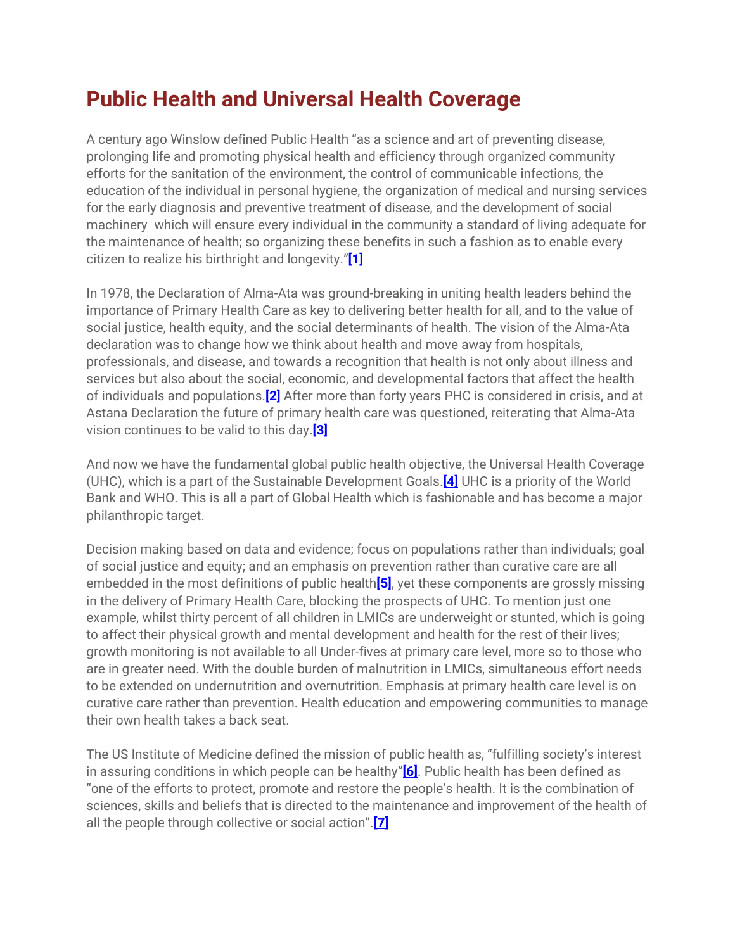## **Public Health and Universal Health Coverage**

A century ago Winslow defined Public Health "as a science and art of preventing disease, prolonging life and promoting physical health and efficiency through organized community efforts for the sanitation of the environment, the control of communicable infections, the education of the individual in personal hygiene, the organization of medical and nursing services for the early diagnosis and preventive treatment of disease, and the development of social machinery which will ensure every individual in the community a standard of living adequate for the maintenance of health; so organizing these benefits in such a fashion as to enable every citizen to realize his birthright and longevity."**[\[1\]](https://116990868-235518804204378121.preview.editmysite.com/editor/main.php#_ftn1)**

In 1978, the Declaration of Alma-Ata was ground-breaking in uniting health leaders behind the importance of Primary Health Care as key to delivering better health for all, and to the value of social justice, health equity, and the social determinants of health. The vision of the Alma-Ata declaration was to change how we think about health and move away from hospitals, professionals, and disease, and towards a recognition that health is not only about illness and services but also about the social, economic, and developmental factors that affect the health of individuals and populations.**[\[2\]](https://116990868-235518804204378121.preview.editmysite.com/editor/main.php#_ftn2)** After more than forty years PHC is considered in crisis, and at Astana Declaration the future of primary health care was questioned, reiterating that Alma-Ata vision continues to be valid to this day.**[\[3\]](https://116990868-235518804204378121.preview.editmysite.com/editor/main.php#_ftn3)**

And now we have the fundamental global public health objective, the Universal Health Coverage (UHC), which is a part of the Sustainable Development Goals.**[\[4\]](https://116990868-235518804204378121.preview.editmysite.com/editor/main.php#_ftn4)** UHC is a priority of the World Bank and WHO. This is all a part of Global Health which is fashionable and has become a major philanthropic target.

Decision making based on data and evidence; focus on populations rather than individuals; goal of social justice and equity; and an emphasis on prevention rather than curative care are all embedded in the most definitions of public health**[\[5\]](https://116990868-235518804204378121.preview.editmysite.com/editor/main.php#_ftn5)**, yet these components are grossly missing in the delivery of Primary Health Care, blocking the prospects of UHC. To mention just one example, whilst thirty percent of all children in LMICs are underweight or stunted, which is going to affect their physical growth and mental development and health for the rest of their lives; growth monitoring is not available to all Under-fives at primary care level, more so to those who are in greater need. With the double burden of malnutrition in LMICs, simultaneous effort needs to be extended on undernutrition and overnutrition. Emphasis at primary health care level is on curative care rather than prevention. Health education and empowering communities to manage their own health takes a back seat.

The US Institute of Medicine defined the mission of public health as, "fulfilling society's interest in assuring conditions in which people can be healthy"**[\[6\]](https://116990868-235518804204378121.preview.editmysite.com/editor/main.php#_ftn6)**. Public health has been defined as "one of the efforts to protect, promote and restore the people's health. It is the combination of sciences, skills and beliefs that is directed to the maintenance and improvement of the health of all the people through collective or social action".**[\[7\]](https://116990868-235518804204378121.preview.editmysite.com/editor/main.php#_ftn7)**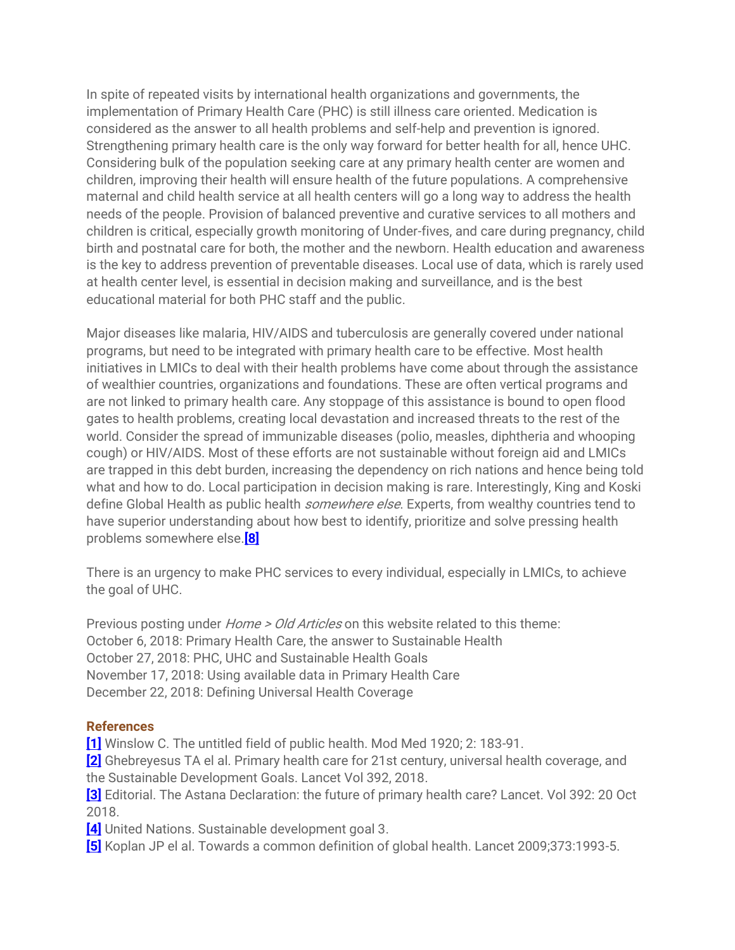In spite of repeated visits by international health organizations and governments, the implementation of Primary Health Care (PHC) is still illness care oriented. Medication is considered as the answer to all health problems and self-help and prevention is ignored. Strengthening primary health care is the only way forward for better health for all, hence UHC. Considering bulk of the population seeking care at any primary health center are women and children, improving their health will ensure health of the future populations. A comprehensive maternal and child health service at all health centers will go a long way to address the health needs of the people. Provision of balanced preventive and curative services to all mothers and children is critical, especially growth monitoring of Under-fives, and care during pregnancy, child birth and postnatal care for both, the mother and the newborn. Health education and awareness is the key to address prevention of preventable diseases. Local use of data, which is rarely used at health center level, is essential in decision making and surveillance, and is the best educational material for both PHC staff and the public.

Major diseases like malaria, HIV/AIDS and tuberculosis are generally covered under national programs, but need to be integrated with primary health care to be effective. Most health initiatives in LMICs to deal with their health problems have come about through the assistance of wealthier countries, organizations and foundations. These are often vertical programs and are not linked to primary health care. Any stoppage of this assistance is bound to open flood gates to health problems, creating local devastation and increased threats to the rest of the world. Consider the spread of immunizable diseases (polio, measles, diphtheria and whooping cough) or HIV/AIDS. Most of these efforts are not sustainable without foreign aid and LMICs are trapped in this debt burden, increasing the dependency on rich nations and hence being told what and how to do. Local participation in decision making is rare. Interestingly, King and Koski define Global Health as public health *somewhere else*. Experts, from wealthy countries tend to have superior understanding about how best to identify, prioritize and solve pressing health problems somewhere else.**[\[8\]](https://116990868-235518804204378121.preview.editmysite.com/editor/main.php#_ftn8)**

There is an urgency to make PHC services to every individual, especially in LMICs, to achieve the goal of UHC.

Previous posting under *Home > Old Articles* on this website related to this theme: October 6, 2018: Primary Health Care, the answer to Sustainable Health October 27, 2018: PHC, UHC and Sustainable Health Goals November 17, 2018: Using available data in Primary Health Care December 22, 2018: Defining Universal Health Coverage

## **References**

**[\[1\]](https://116990868-235518804204378121.preview.editmysite.com/editor/main.php#_ftnref1)** Winslow C. The untitled field of public health. Mod Med 1920; 2: 183-91.

**[\[2\]](https://116990868-235518804204378121.preview.editmysite.com/editor/main.php#_ftnref2)** Ghebreyesus TA el al. Primary health care for 21st century, universal health coverage, and the Sustainable Development Goals. Lancet Vol 392, 2018.

**[\[3\]](https://116990868-235518804204378121.preview.editmysite.com/editor/main.php#_ftnref3)** Editorial. The Astana Declaration: the future of primary health care? Lancet. Vol 392: 20 Oct 2018.

**[\[4\]](https://116990868-235518804204378121.preview.editmysite.com/editor/main.php#_ftnref4)** United Nations. Sustainable development goal 3.

**[\[5\]](https://116990868-235518804204378121.preview.editmysite.com/editor/main.php#_ftnref5)** Koplan JP el al. Towards a common definition of global health. Lancet 2009;373:1993-5.